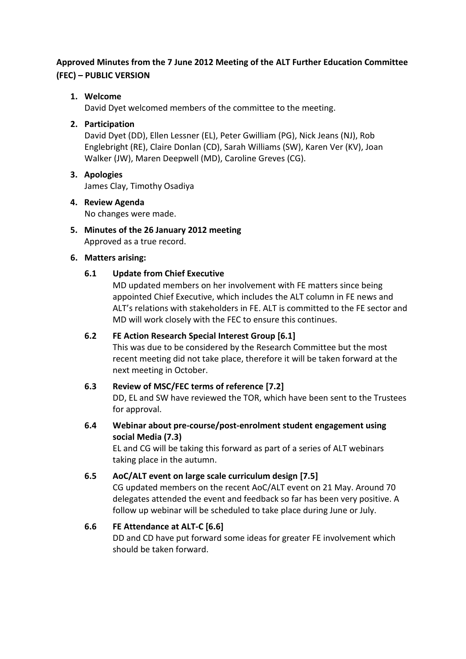# **Approved Minutes from the 7 June 2012 Meeting of the ALT Further Education Committee (FEC) – PUBLIC VERSION**

# **1. Welcome**

David Dyet welcomed members of the committee to the meeting.

# **2. Participation**

David Dyet (DD), Ellen Lessner (EL), Peter Gwilliam (PG), Nick Jeans (NJ), Rob Englebright (RE), Claire Donlan (CD), Sarah Williams (SW), Karen Ver (KV), Joan Walker (JW), Maren Deepwell (MD), Caroline Greves (CG).

- **3. Apologies** James Clay, Timothy Osadiya
- **4. Review Agenda** No changes were made.
- **5. Minutes of the 26 January 2012 meeting** Approved as a true record.

## **6. Matters arising:**

# **6.1 Update from Chief Executive**

MD updated members on her involvement with FE matters since being appointed Chief Executive, which includes the ALT column in FE news and ALT's relations with stakeholders in FE. ALT is committed to the FE sector and MD will work closely with the FEC to ensure this continues.

## **6.2 FE Action Research Special Interest Group [6.1]**

This was due to be considered by the Research Committee but the most recent meeting did not take place, therefore it will be taken forward at the next meeting in October.

## **6.3 Review of MSC/FEC terms of reference [7.2]**

DD, EL and SW have reviewed the TOR, which have been sent to the Trustees for approval.

**6.4 Webinar about pre-course/post-enrolment student engagement using social Media (7.3)**

EL and CG will be taking this forward as part of a series of ALT webinars taking place in the autumn.

# **6.5 AoC/ALT event on large scale curriculum design [7.5]**

CG updated members on the recent AoC/ALT event on 21 May. Around 70 delegates attended the event and feedback so far has been very positive. A follow up webinar will be scheduled to take place during June or July.

# **6.6 FE Attendance at ALT-C [6.6]**

DD and CD have put forward some ideas for greater FE involvement which should be taken forward.